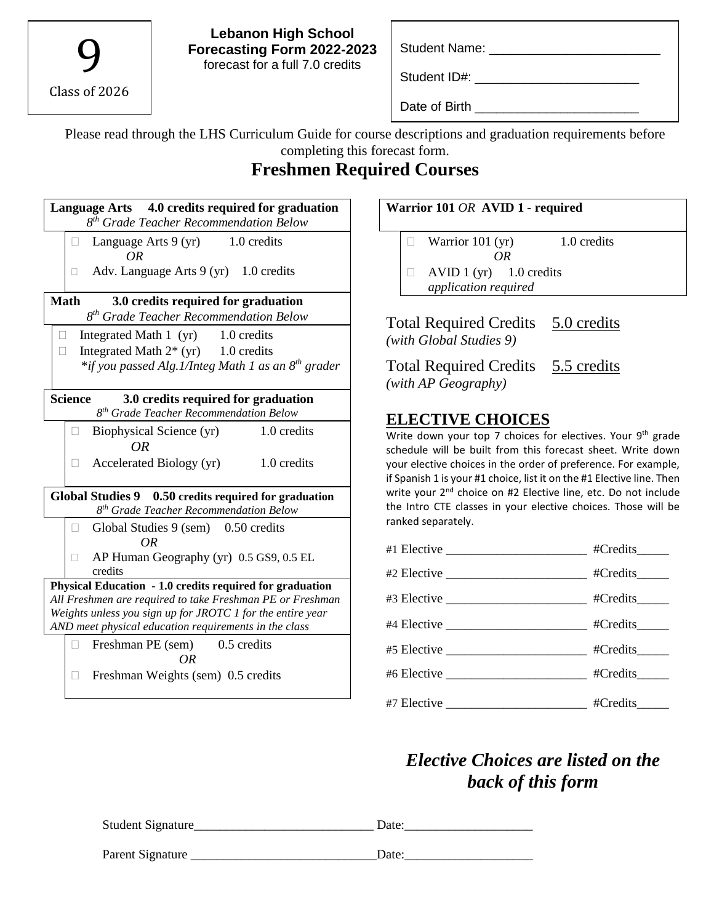9 Class of 2026

**Lebanon High School Forecasting Form 2022-2023** forecast for a full 7.0 credits

Student Name: \_\_\_\_\_\_\_\_\_\_\_\_\_\_\_\_\_\_\_\_\_\_\_\_

Student ID#: \_\_\_\_\_\_\_\_\_\_\_\_\_\_\_\_\_\_\_\_\_\_\_

Date of Birth \_\_\_\_\_\_\_\_\_\_\_\_\_\_\_\_\_\_\_\_\_\_\_

Please read through the LHS Curriculum Guide for course descriptions and graduation requirements before completing this forecast form.

# **Freshmen Required Courses**

| Language Arts 4.0 credits required for graduation<br>8 <sup>th</sup> Grade Teacher Recommendation Below                                                                                                                                      |  |  |  |
|----------------------------------------------------------------------------------------------------------------------------------------------------------------------------------------------------------------------------------------------|--|--|--|
| Language Arts 9 (yr) 1.0 credits<br>п<br>OR                                                                                                                                                                                                  |  |  |  |
| Adv. Language Arts $9(yr)$ 1.0 credits<br>п                                                                                                                                                                                                  |  |  |  |
| <b>Math</b><br>3.0 credits required for graduation<br>8 <sup>th</sup> Grade Teacher Recommendation Below                                                                                                                                     |  |  |  |
| Integrated Math 1 (yr) 1.0 credits<br>$\mathbf{L}$<br>Integrated Math $2^*$ (yr) 1.0 credits<br>П<br>*if you passed Alg.1/Integ Math 1 as an 8 <sup>th</sup> grader                                                                          |  |  |  |
| <b>Science</b><br>3.0 credits required for graduation<br>8 <sup>th</sup> Grade Teacher Recommendation Below                                                                                                                                  |  |  |  |
| 1.0 credits<br>Biophysical Science (yr)<br>OR                                                                                                                                                                                                |  |  |  |
| Accelerated Biology (yr)<br>1.0 credits                                                                                                                                                                                                      |  |  |  |
| Global Studies 9 0.50 credits required for graduation<br>8 <sup>th</sup> Grade Teacher Recommendation Below                                                                                                                                  |  |  |  |
| Global Studies 9 (sem) 0.50 credits<br>H<br>OR                                                                                                                                                                                               |  |  |  |
| AP Human Geography (yr) 0.5 GS9, 0.5 EL<br>credits                                                                                                                                                                                           |  |  |  |
| Physical Education - 1.0 credits required for graduation<br>All Freshmen are required to take Freshman PE or Freshman<br>Weights unless you sign up for JROTC 1 for the entire year<br>AND meet physical education requirements in the class |  |  |  |
| Freshman PE (sem)<br>0.5 credits<br>OΒ<br>Freshman Weights (sem) 0.5 credits<br>П                                                                                                                                                            |  |  |  |

#### **Warrior 101** *OR* **AVID 1 - required**

 $\Box$  Warrior 101 (yr) 1.0 credits *OR*

 $\Box$  AVID 1 (yr) 1.0 credits *application required*

Total Required Credits 5.0 credits *(with Global Studies 9)*

Total Required Credits 5.5 credits *(with AP Geography)*

## **ELECTIVE CHOICES**

Write down your top 7 choices for electives. Your 9<sup>th</sup> grade schedule will be built from this forecast sheet. Write down your elective choices in the order of preference. For example, if Spanish 1 is your #1 choice, list it on the #1 Elective line. Then write your 2<sup>nd</sup> choice on #2 Elective line, etc. Do not include the Intro CTE classes in your elective choices. Those will be ranked separately.

| #1 Elective ______________________________ #Credits______  |  |
|------------------------------------------------------------|--|
|                                                            |  |
|                                                            |  |
| #4 Elective _______________________________ #Credits______ |  |
|                                                            |  |
| #6 Elective _____________________________ #Credits______   |  |
| #7 Elective _____________________________ #Credits______   |  |

# *Elective Choices are listed on the back of this form*

| Student Signature | Date: |
|-------------------|-------|
| Parent Signature  | Date: |